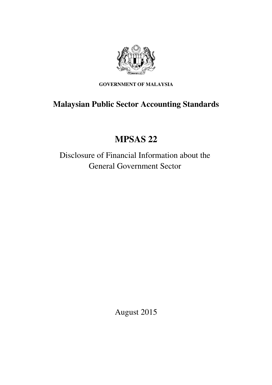

**GOVERNMENT OF MALAYSIA** 

# **Malaysian Public Sector Accounting Standards**

# **MPSAS 22**

Disclosure of Financial Information about the General Government Sector

August 2015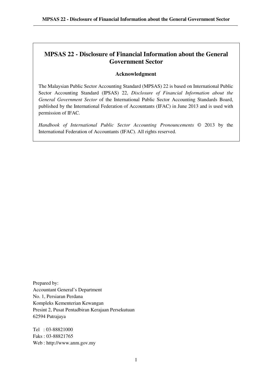# **MPSAS 22 - Disclosure of Financial Information about the General Government Sector**

#### **Acknowledgment**

The Malaysian Public Sector Accounting Standard (MPSAS) 22 is based on International Public Sector Accounting Standard (IPSAS) 22, *Disclosure of Financial Information about the General Government Sector* of the International Public Sector Accounting Standards Board, published by the International Federation of Accountants (IFAC) in June 2013 and is used with permission of IFAC.

*Handbook of International Public Sector Accounting Pronouncements* © 2013 by the International Federation of Accountants (IFAC). All rights reserved.

Prepared by: Accountant General's Department No. 1, Persiaran Perdana Kompleks Kementerian Kewangan Presint 2, Pusat Pentadbiran Kerajaan Persekutuan 62594 Putrajaya

Tel : 03-88821000 Faks : 03-88821765 Web : http://www.anm.gov.my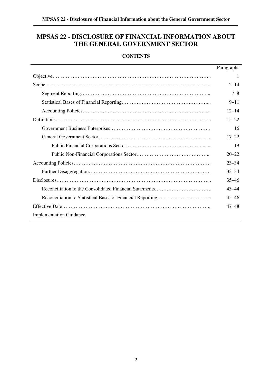# **MPSAS 22 - DISCLOSURE OF FINANCIAL INFORMATION ABOUT THE GENERAL GOVERNMENT SECTOR**

### **CONTENTS**

|                                | Paragraphs |
|--------------------------------|------------|
|                                | 1          |
|                                | $2 - 14$   |
|                                | $7 - 8$    |
|                                | $9 - 11$   |
|                                | $12 - 14$  |
|                                | $15 - 22$  |
|                                | 16         |
|                                | $17 - 22$  |
|                                | 19         |
|                                | $20 - 22$  |
|                                | $23 - 34$  |
|                                | $33 - 34$  |
|                                | $35 - 46$  |
|                                | $43 - 44$  |
|                                | $45 - 46$  |
|                                | $47 - 48$  |
| <b>Implementation Guidance</b> |            |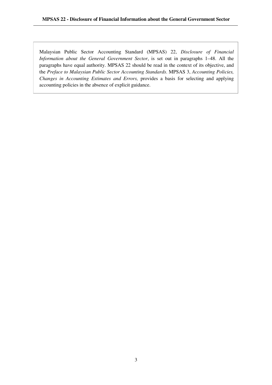Malaysian Public Sector Accounting Standard (MPSAS) 22, *Disclosure of Financial Information about the General Government Sector*, is set out in paragraphs 1–48. All the paragraphs have equal authority. MPSAS 22 should be read in the context of its objective, and the *Preface to Malaysian Public Sector Accounting Standards*. MPSAS 3, *Accounting Policies, Changes in Accounting Estimates and Errors,* provides a basis for selecting and applying accounting policies in the absence of explicit guidance.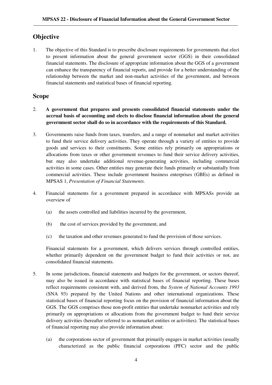# **Objective**

1. The objective of this Standard is to prescribe disclosure requirements for governments that elect to present information about the general government sector (GGS) in their consolidated financial statements. The disclosure of appropriate information about the GGS of a government can enhance the transparency of financial reports, and provide for a better understanding of the relationship between the market and non-market activities of the government, and between financial statements and statistical bases of financial reporting.

# **Scope**

- 2. **A government that prepares and presents consolidated financial statements under the accrual basis of accounting and elects to disclose financial information about the general government sector shall do so in accordance with the requirements of this Standard.**
- 3. Governments raise funds from taxes, transfers, and a range of nonmarket and market activities to fund their service delivery activities. They operate through a variety of entities to provide goods and services to their constituents. Some entities rely primarily on appropriations or allocations from taxes or other government revenues to fund their service delivery activities, but may also undertake additional revenue-generating activities, including commercial activities in some cases. Other entities may generate their funds primarily or substantially from commercial activities. These include government business enterprises (GBEs) as defined in MPSAS 1, *Presentation of Financial Statements*.
- 4. Financial statements for a government prepared in accordance with MPSASs provide an overview of
	- (a) the assets controlled and liabilities incurred by the government,
	- (b) the cost of services provided by the government, and
	- (c) the taxation and other revenues generated to fund the provision of those services.

Financial statements for a government, which delivers services through controlled entities, whether primarily dependent on the government budget to fund their activities or not, are consolidated financial statements.

- 5. In some jurisdictions, financial statements and budgets for the government, or sectors thereof, may also be issued in accordance with statistical bases of financial reporting. These bases reflect requirements consistent with, and derived from, the *System of National Accounts 1993* (SNA 93) prepared by the United Nations and other international organizations. These statistical bases of financial reporting focus on the provision of financial information about the GGS. The GGS comprises those non-profit entities that undertake nonmarket activities and rely primarily on appropriations or allocations from the government budget to fund their service delivery activities (hereafter referred to as nonmarket entities or activities). The statistical bases of financial reporting may also provide information about:
	- (a) the corporations sector of government that primarily engages in market activities (usually characterized as the public financial corporations (PFC) sector and the public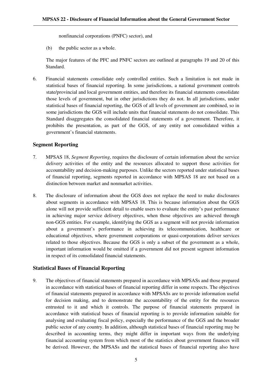nonfinancial corporations (PNFC) sector), and

(b) the public sector as a whole.

The major features of the PFC and PNFC sectors are outlined at paragraphs 19 and 20 of this Standard.

6. Financial statements consolidate only controlled entities. Such a limitation is not made in statistical bases of financial reporting. In some jurisdictions, a national government controls state/provincial and local government entities, and therefore its financial statements consolidate those levels of government, but in other jurisdictions they do not. In all jurisdictions, under statistical bases of financial reporting, the GGS of all levels of government are combined, so in some jurisdictions the GGS will include units that financial statements do not consolidate. This Standard disaggregates the consolidated financial statements of a government. Therefore, it prohibits the presentation, as part of the GGS, of any entity not consolidated within a government's financial statements.

#### **Segment Reporting**

- 7. MPSAS 18, *Segment Reporting*, requires the disclosure of certain information about the service delivery activities of the entity and the resources allocated to support those activities for accountability and decision-making purposes. Unlike the sectors reported under statistical bases of financial reporting, segments reported in accordance with MPSAS 18 are not based on a distinction between market and nonmarket activities.
- 8. The disclosure of information about the GGS does not replace the need to make disclosures about segments in accordance with MPSAS 18. This is because information about the GGS alone will not provide sufficient detail to enable users to evaluate the entity's past performance in achieving major service delivery objectives, when those objectives are achieved through non-GGS entities. For example, identifying the GGS as a segment will not provide information about a government's performance in achieving its telecommunication, healthcare or educational objectives, where government corporations or quasi-corporations deliver services related to those objectives. Because the GGS is only a subset of the government as a whole, important information would be omitted if a government did not present segment information in respect of its consolidated financial statements.

#### **Statistical Bases of Financial Reporting**

9. The objectives of financial statements prepared in accordance with MPSASs and those prepared in accordance with statistical bases of financial reporting differ in some respects. The objectives of financial statements prepared in accordance with MPSASs are to provide information useful for decision making, and to demonstrate the accountability of the entity for the resources entrusted to it and which it controls. The purpose of financial statements prepared in accordance with statistical bases of financial reporting is to provide information suitable for analysing and evaluating fiscal policy, especially the performance of the GGS and the broader public sector of any country. In addition, although statistical bases of financial reporting may be described in accounting terms, they might differ in important ways from the underlying financial accounting system from which most of the statistics about government finances will be derived. However, the MPSASs and the statistical bases of financial reporting also have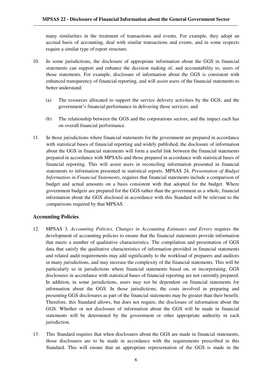many similarities in the treatment of transactions and events. For example, they adopt an accrual basis of accounting, deal with similar transactions and events, and in some respects require a similar type of report structure.

- 10. In some jurisdictions, the disclosure of appropriate information about the GGS in financial statements can support and enhance the decision making of, and accountability to, users of those statements. For example, disclosure of information about the GGS is consistent with enhanced transparency of financial reporting, and will assist users of the financial statements to better understand:
	- (a) The resources allocated to support the service delivery activities by the GGS, and the government's financial performance in delivering those services; and
	- (b) The relationship between the GGS and the corporations sectors, and the impact each has on overall financial performance.
- 11. In those jurisdictions where financial statements for the government are prepared in accordance with statistical bases of financial reporting and widely published, the disclosure of information about the GGS in financial statements will form a useful link between the financial statements prepared in accordance with MPSASs and those prepared in accordance with statistical bases of financial reporting. This will assist users in reconciling information presented in financial statements to information presented in statistical reports. MPSAS 24, *Presentation of Budget Information in Financial Statements*, requires that financial statements include a comparison of budget and actual amounts on a basis consistent with that adopted for the budget. Where government budgets are prepared for the GGS rather than the government as a whole, financial information about the GGS disclosed in accordance with this Standard will be relevant to the comparisons required by that MPSAS.

## **Accounting Policies**

- 12. MPSAS 3, *Accounting Policies, Changes in Accounting Estimates and Errors* requires the development of accounting policies to ensure that the financial statements provide information that meets a number of qualitative characteristics. The compilation and presentation of GGS data that satisfy the qualitative characteristics of information provided in financial statements and related audit requirements may add significantly to the workload of preparers and auditors in many jurisdictions, and may increase the complexity of the financial statements. This will be particularly so in jurisdictions where financial statements based on, or incorporating, GGS disclosures in accordance with statistical bases of financial reporting are not currently prepared. In addition, in some jurisdictions, users may not be dependent on financial statements for information about the GGS. In those jurisdictions, the costs involved in preparing and presenting GGS disclosures as part of the financial statements may be greater than their benefit. Therefore, this Standard allows, but does not require, the disclosure of information about the GGS. Whether or not disclosure of information about the GGS will be made in financial statements will be determined by the government or other appropriate authority in each jurisdiction.
- 13. This Standard requires that when disclosures about the GGS are made in financial statements, those disclosures are to be made in accordance with the requirements prescribed in this Standard. This will ensure that an appropriate representation of the GGS is made in the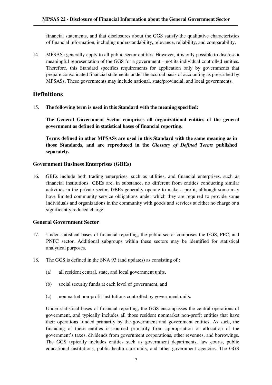financial statements, and that disclosures about the GGS satisfy the qualitative characteristics of financial information, including understandability, relevance, reliability, and comparability.

14. MPSASs generally apply to all public sector entities. However, it is only possible to disclose a meaningful representation of the GGS for a government – not its individual controlled entities. Therefore, this Standard specifies requirements for application only by governments that prepare consolidated financial statements under the accrual basis of accounting as prescribed by MPSASs. These governments may include national, state/provincial, and local governments.

# **Definitions**

15. **The following term is used in this Standard with the meaning specified:** 

**The General Government Sector comprises all organizational entities of the general government as defined in statistical bases of financial reporting.** 

**Terms defined in other MPSASs are used in this Standard with the same meaning as in those Standards, and are reproduced in the** *Glossary of Defined Terms* **published separately.** 

#### **Government Business Enterprises (GBEs)**

16. GBEs include both trading enterprises, such as utilities, and financial enterprises, such as financial institutions. GBEs are, in substance, no different from entities conducting similar activities in the private sector. GBEs generally operate to make a profit, although some may have limited community service obligations under which they are required to provide some individuals and organizations in the community with goods and services at either no charge or a significantly reduced charge.

#### **General Government Sector**

- 17. Under statistical bases of financial reporting, the public sector comprises the GGS, PFC, and PNFC sector. Additional subgroups within these sectors may be identified for statistical analytical purposes.
- 18. The GGS is defined in the SNA 93 (and updates) as consisting of :
	- (a) all resident central, state, and local government units,
	- (b) social security funds at each level of government, and
	- (c) nonmarket non-profit institutions controlled by government units.

Under statistical bases of financial reporting, the GGS encompasses the central operations of government, and typically includes all those resident nonmarket non-profit entities that have their operations funded primarily by the government and government entities. As such, the financing of these entities is sourced primarily from appropriation or allocation of the government's taxes, dividends from government corporations, other revenues, and borrowings. The GGS typically includes entities such as government departments, law courts, public educational institutions, public health care units, and other government agencies. The GGS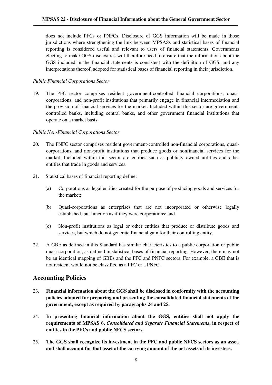does not include PFCs or PNFCs. Disclosure of GGS information will be made in those jurisdictions where strengthening the link between MPSASs and statistical bases of financial reporting is considered useful and relevant to users of financial statements. Governments electing to make GGS disclosures will therefore need to ensure that the information about the GGS included in the financial statements is consistent with the definition of GGS, and any interpretations thereof, adopted for statistical bases of financial reporting in their jurisdiction.

#### *Public Financial Corporations Sector*

19. The PFC sector comprises resident government-controlled financial corporations, quasicorporations, and non-profit institutions that primarily engage in financial intermediation and the provision of financial services for the market. Included within this sector are governmentcontrolled banks, including central banks, and other government financial institutions that operate on a market basis.

#### *Public Non-Financial Corporations Sector*

- 20. The PNFC sector comprises resident government-controlled non-financial corporations, quasicorporations, and non-profit institutions that produce goods or nonfinancial services for the market. Included within this sector are entities such as publicly owned utilities and other entities that trade in goods and services.
- 21. Statistical bases of financial reporting define:
	- (a) Corporations as legal entities created for the purpose of producing goods and services for the market;
	- (b) Quasi-corporations as enterprises that are not incorporated or otherwise legally established, but function as if they were corporations; and
	- (c) Non-profit institutions as legal or other entities that produce or distribute goods and services, but which do not generate financial gain for their controlling entity.
- 22. A GBE as defined in this Standard has similar characteristics to a public corporation or public quasi-corporation, as defined in statistical bases of financial reporting. However, there may not be an identical mapping of GBEs and the PFC and PNFC sectors. For example, a GBE that is not resident would not be classified as a PFC or a PNFC.

# **Accounting Policies**

- 23. **Financial information about the GGS shall be disclosed in conformity with the accounting policies adopted for preparing and presenting the consolidated financial statements of the government, except as required by paragraphs 24 and 25.**
- 24. **In presenting financial information about the GGS, entities shall not apply the requirements of MPSAS 6,** *Consolidated and Separate Financial Statements***, in respect of entities in the PFCs and public NFCS sectors.**
- 25. **The GGS shall recognize its investment in the PFC and public NFCS sectors as an asset, and shall account for that asset at the carrying amount of the net assets of its investees.**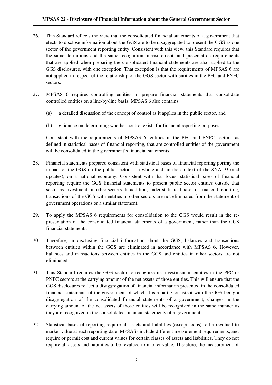- 26. This Standard reflects the view that the consolidated financial statements of a government that elects to disclose information about the GGS are to be disaggregated to present the GGS as one sector of the government reporting entity. Consistent with this view, this Standard requires that the same definitions and the same recognition, measurement, and presentation requirements that are applied when preparing the consolidated financial statements are also applied to the GGS disclosures, with one exception. That exception is that the requirements of MPSAS 6 are not applied in respect of the relationship of the GGS sector with entities in the PFC and PNFC sectors.
- 27. MPSAS 6 requires controlling entities to prepare financial statements that consolidate controlled entities on a line-by-line basis. MPSAS 6 also contains
	- (a) a detailed discussion of the concept of control as it applies in the public sector, and
	- (b) guidance on determining whether control exists for financial reporting purposes.

Consistent with the requirements of MPSAS 6, entities in the PFC and PNFC sectors, as defined in statistical bases of financial reporting, that are controlled entities of the government will be consolidated in the government's financial statements.

- 28. Financial statements prepared consistent with statistical bases of financial reporting portray the impact of the GGS on the public sector as a whole and, in the context of the SNA 93 (and updates), on a national economy. Consistent with that focus, statistical bases of financial reporting require the GGS financial statements to present public sector entities outside that sector as investments in other sectors. In addition, under statistical bases of financial reporting, transactions of the GGS with entities in other sectors are not eliminated from the statement of government operations or a similar statement.
- 29. To apply the MPSAS 6 requirements for consolidation to the GGS would result in the representation of the consolidated financial statements of a government, rather than the GGS financial statements.
- 30. Therefore, in disclosing financial information about the GGS, balances and transactions between entities within the GGS are eliminated in accordance with MPSAS 6. However, balances and transactions between entities in the GGS and entities in other sectors are not eliminated.
- 31. This Standard requires the GGS sector to recognize its investment in entities in the PFC or PNFC sectors at the carrying amount of the net assets of those entities. This will ensure that the GGS disclosures reflect a disaggregation of financial information presented in the consolidated financial statements of the government of which it is a part. Consistent with the GGS being a disaggregation of the consolidated financial statements of a government, changes in the carrying amount of the net assets of those entities will be recognized in the same manner as they are recognized in the consolidated financial statements of a government.
- 32. Statistical bases of reporting require all assets and liabilities (except loans) to be revalued to market value at each reporting date. MPSASs include different measurement requirements, and require or permit cost and current values for certain classes of assets and liabilities. They do not require all assets and liabilities to be revalued to market value. Therefore, the measurement of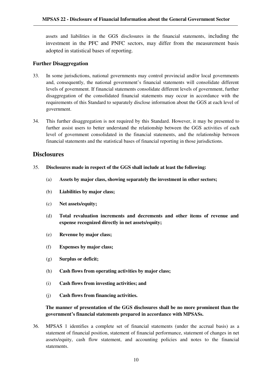assets and liabilities in the GGS disclosures in the financial statements, including the investment in the PFC and PNFC sectors, may differ from the measurement basis adopted in statistical bases of reporting.

#### **Further Disaggregation**

- 33. In some jurisdictions, national governments may control provincial and/or local governments and, consequently, the national government's financial statements will consolidate different levels of government. If financial statements consolidate different levels of government, further disaggregation of the consolidated financial statements may occur in accordance with the requirements of this Standard to separately disclose information about the GGS at each level of government.
- 34. This further disaggregation is not required by this Standard. However, it may be presented to further assist users to better understand the relationship between the GGS activities of each level of government consolidated in the financial statements, and the relationship between financial statements and the statistical bases of financial reporting in those jurisdictions.

# **Disclosures**

- 35. **Disclosures made in respect of the GGS shall include at least the following:** 
	- (a) **Assets by major class, showing separately the investment in other sectors;**
	- (b) **Liabilities by major class;**
	- (c) **Net assets/equity;**
	- (d) **Total revaluation increments and decrements and other items of revenue and expense recognized directly in net assets/equity;**
	- (e) **Revenue by major class;**
	- (f) **Expenses by major class;**
	- (g) **Surplus or deficit;**
	- (h) **Cash flows from operating activities by major class;**
	- (i) **Cash flows from investing activities; and**
	- (j) **Cash flows from financing activities.**

#### **The manner of presentation of the GGS disclosures shall be no more prominent than the government's financial statements prepared in accordance with MPSASs.**

36. MPSAS 1 identifies a complete set of financial statements (under the accrual basis) as a statement of financial position, statement of financial performance, statement of changes in net assets/equity, cash flow statement, and accounting policies and notes to the financial statements.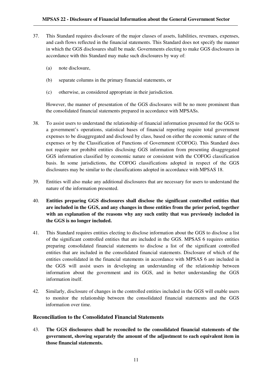- 37. This Standard requires disclosure of the major classes of assets, liabilities, revenues, expenses, and cash flows reflected in the financial statements. This Standard does not specify the manner in which the GGS disclosures shall be made. Governments electing to make GGS disclosures in accordance with this Standard may make such disclosures by way of:
	- (a) note disclosure,
	- (b) separate columns in the primary financial statements, or
	- (c) otherwise, as considered appropriate in their jurisdiction.

However, the manner of presentation of the GGS disclosures will be no more prominent than the consolidated financial statements prepared in accordance with MPSASs.

- 38. To assist users to understand the relationship of financial information presented for the GGS to a government's operations, statistical bases of financial reporting require total government expenses to be disaggregated and disclosed by class, based on either the economic nature of the expenses or by the Classification of Functions of Government (COFOG). This Standard does not require nor prohibit entities disclosing GGS information from presenting disaggregated GGS information classified by economic nature or consistent with the COFOG classification basis. In some jurisdictions, the COFOG classifications adopted in respect of the GGS disclosures may be similar to the classifications adopted in accordance with MPSAS 18.
- 39. Entities will also make any additional disclosures that are necessary for users to understand the nature of the information presented.
- 40. **Entities preparing GGS disclosures shall disclose the significant controlled entities that are included in the GGS, and any changes in those entities from the prior period, together with an explanation of the reasons why any such entity that was previously included in the GGS is no longer included.**
- 41. This Standard requires entities electing to disclose information about the GGS to disclose a list of the significant controlled entities that are included in the GGS. MPSAS 6 requires entities preparing consolidated financial statements to disclose a list of the significant controlled entities that are included in the consolidated financial statements. Disclosure of which of the entities consolidated in the financial statements in accordance with MPSAS 6 are included in the GGS will assist users in developing an understanding of the relationship between information about the government and its GGS, and in better understanding the GGS information itself.
- 42. Similarly, disclosure of changes in the controlled entities included in the GGS will enable users to monitor the relationship between the consolidated financial statements and the GGS information over time.

#### **Reconciliation to the Consolidated Financial Statements**

43. **The GGS disclosures shall be reconciled to the consolidated financial statements of the government, showing separately the amount of the adjustment to each equivalent item in those financial statements.**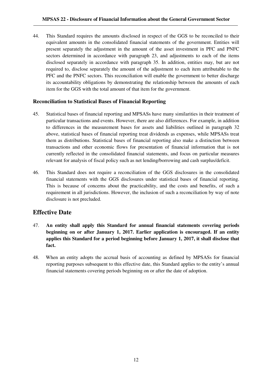44. This Standard requires the amounts disclosed in respect of the GGS to be reconciled to their equivalent amounts in the consolidated financial statements of the government. Entities will present separately the adjustment in the amount of the asset investment in PFC and PNFC sectors determined in accordance with paragraph 23, and adjustments to each of the items disclosed separately in accordance with paragraph 35. In addition, entities may, but are not required to, disclose separately the amount of the adjustment to each item attributable to the PFC and the PNFC sectors. This reconciliation will enable the government to better discharge its accountability obligations by demonstrating the relationship between the amounts of each item for the GGS with the total amount of that item for the government.

## **Reconciliation to Statistical Bases of Financial Reporting**

- 45. Statistical bases of financial reporting and MPSASs have many similarities in their treatment of particular transactions and events. However, there are also differences. For example, in addition to differences in the measurement bases for assets and liabilities outlined in paragraph 32 above, statistical bases of financial reporting treat dividends as expenses, while MPSASs treat them as distributions. Statistical bases of financial reporting also make a distinction between transactions and other economic flows for presentation of financial information that is not currently reflected in the consolidated financial statements, and focus on particular measures relevant for analysis of fiscal policy such as net lending/borrowing and cash surplus/deficit.
- 46. This Standard does not require a reconciliation of the GGS disclosures in the consolidated financial statements with the GGS disclosures under statistical bases of financial reporting. This is because of concerns about the practicability, and the costs and benefits, of such a requirement in all jurisdictions. However, the inclusion of such a reconciliation by way of note disclosure is not precluded.

# **Effective Date**

- 47. **An entity shall apply this Standard for annual financial statements covering periods beginning on or after January 1, 2017. Earlier application is encouraged. If an entity applies this Standard for a period beginning before January 1, 2017, it shall disclose that fact.**
- 48. When an entity adopts the accrual basis of accounting as defined by MPSASs for financial reporting purposes subsequent to this effective date, this Standard applies to the entity's annual financial statements covering periods beginning on or after the date of adoption.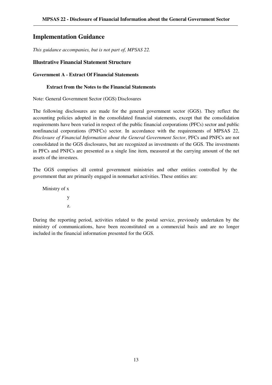# **Implementation Guidance**

*This guidance accompanies, but is not part of, MPSAS 22.*

#### **Illustrative Financial Statement Structure**

#### **Government A - Extract Of Financial Statements**

#### **Extract from the Notes to the Financial Statements**

Note: General Government Sector (GGS) Disclosures

The following disclosures are made for the general government sector (GGS). They reflect the accounting policies adopted in the consolidated financial statements, except that the consolidation requirements have been varied in respect of the public financial corporations (PFCs) sector and public nonfinancial corporations (PNFCs) sector. In accordance with the requirements of MPSAS 22, *Disclosure of Financial Information about the General Government Sector*, PFCs and PNFCs are not consolidated in the GGS disclosures, but are recognized as investments of the GGS. The investments in PFCs and PNFCs are presented as a single line item, measured at the carrying amount of the net assets of the investees.

The GGS comprises all central government ministries and other entities controlled by the government that are primarily engaged in nonmarket activities. These entities are:

Ministry of x y z.

During the reporting period, activities related to the postal service, previously undertaken by the ministry of communications, have been reconstituted on a commercial basis and are no longer included in the financial information presented for the GGS.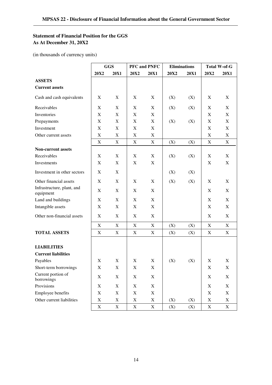# **Statement of Financial Position for the GGS As At December 31, 20X2**

(in thousands of currency units)

|                                         | <b>GGS</b>       |             | PFC and PNFC              |                  | <b>Eliminations</b> |             | <b>Total W-of-G</b> |                  |
|-----------------------------------------|------------------|-------------|---------------------------|------------------|---------------------|-------------|---------------------|------------------|
|                                         | <b>20X2</b>      | <b>20X1</b> | <b>20X2</b>               | <b>20X1</b>      | <b>20X2</b>         | <b>20X1</b> | <b>20X2</b>         | <b>20X1</b>      |
| <b>ASSETS</b>                           |                  |             |                           |                  |                     |             |                     |                  |
| <b>Current assets</b>                   |                  |             |                           |                  |                     |             |                     |                  |
| Cash and cash equivalents               | X                | X           | X                         | X                | (X)                 | (X)         | X                   | X                |
| Receivables                             | X                | X           | X                         | X                | (X)                 | (X)         | X                   | X                |
| Inventories                             | $\mathbf X$      | X           | X                         | X                |                     |             | X                   | X                |
| Prepayments                             | X                | X           | X                         | X                | (X)                 | (X)         | X                   | X                |
| Investment                              | X                | X           | X                         | X                |                     |             | X                   | X                |
| Other current assets                    | X                | X           | X                         | X                |                     |             | X                   | $\boldsymbol{X}$ |
|                                         | X                | X           | X                         | X                | (X)                 | (X)         | X                   | $\mathbf X$      |
| <b>Non-current assets</b>               |                  |             |                           |                  |                     |             |                     |                  |
| Receivables                             | $\boldsymbol{X}$ | X           | X                         | X                | (X)                 | (X)         | X                   | X                |
| Investments                             | X                | X           | X                         | X                |                     |             | X                   | X                |
| Investment in other sectors             | X                | X           |                           |                  | (X)                 | (X)         |                     |                  |
| Other financial assets                  | X                | X           | X                         | X                | (X)                 | (X)         | X                   | X                |
| Infrastructure, plant, and<br>equipment | X                | X           | X                         | $\boldsymbol{X}$ |                     |             | X                   | X                |
| Land and buildings                      | $\mathbf X$      | X           | X                         | X                |                     |             | X                   | X                |
| Intangible assets                       | X                | X           | X                         | X                |                     |             | X                   | $\boldsymbol{X}$ |
| Other non-financial assets              | X                | X           | X                         | X                |                     |             | X                   | X                |
|                                         | X                | X           | X                         | X                | (X)                 | (X)         | X                   | X                |
| <b>TOTAL ASSETS</b>                     | X                | X           | X                         | X                | (X)                 | (X)         | X                   | X                |
| <b>LIABILITIES</b>                      |                  |             |                           |                  |                     |             |                     |                  |
| <b>Current liabilities</b>              |                  |             |                           |                  |                     |             |                     |                  |
| Payables                                | X                | X           | X                         | X                | (X)                 | (X)         | X                   | X                |
| Short-term borrowings                   | X                | X           | X                         | X                |                     |             | X                   | X                |
| Current portion of<br>borrowings        | $\mathbf X$      | $\mathbf X$ | X                         | $\mathbf X$      |                     |             | X                   | X                |
| Provisions                              | $\mathbf X$      | $\mathbf X$ | X                         | $\mathbf X$      |                     |             | $\mathbf X$         | X                |
| Employee benefits                       | $\mathbf X$      | $\mathbf X$ | $\mathbf X$               | $\mathbf X$      |                     |             | $\mathbf X$         | $\mathbf X$      |
| Other current liabilities               | X                | $\mathbf X$ | X                         | $\mathbf X$      | (X)                 | (X)         | $\mathbf X$         | X                |
|                                         | $\mathbf X$      | $\mathbf X$ | $\boldsymbol{\mathrm{X}}$ | $\mathbf X$      | (X)                 | (X)         | $\mathbf X$         | $\mathbf X$      |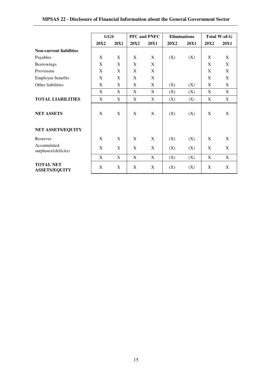# **MPSAS 22 - Disclosure of Financial Information about the General Government Sector**

|                                          | <b>GGS</b>  |             | PFC and PNFC |             | <b>Eliminations</b> |             | <b>Total W-of-G</b> |             |
|------------------------------------------|-------------|-------------|--------------|-------------|---------------------|-------------|---------------------|-------------|
|                                          | <b>20X2</b> | <b>20X1</b> | <b>20X2</b>  | <b>20X1</b> | <b>20X2</b>         | <b>20X1</b> | <b>20X2</b>         | <b>20X1</b> |
| <b>Non-current liabilities</b>           |             |             |              |             |                     |             |                     |             |
| Payables                                 | X           | X           | X            | X           | (X)                 | (X)         | X                   | X           |
| <b>Borrowings</b>                        | X           | X           | X            | X           |                     |             | X                   | X           |
| Provisions                               | X           | X           | X            | X           |                     |             | X                   | X           |
| Employee benefits                        | X           | X           | X            | X           |                     |             | X                   | X           |
| Other liabilities                        | X           | X           | X            | X           | (X)                 | (X)         | X                   | X           |
|                                          | X           | X           | X            | X           | (X)                 | (X)         | X                   | X           |
| <b>TOTAL LIABILITIES</b>                 | X           | X           | X            | X           | (X)                 | (X)         | X                   | X           |
| <b>NET ASSETS</b>                        | X           | X           | X            | X           | (X)                 | (X)         | X                   | X           |
| NET ASSETS/EQUITY                        |             |             |              |             |                     |             |                     |             |
| Reserves                                 | X           | X           | X            | X           | (X)                 | (X)         | X                   | X           |
| Accumulated<br>surpluses/(deficits)      | X           | X           | X            | X           | (X)                 | (X)         | X                   | X           |
|                                          | X           | X           | X            | X           | (X)                 | (X)         | X                   | X           |
| <b>TOTAL NET</b><br><b>ASSETS/EQUITY</b> | X           | X           | X            | X           | (X)                 | (X)         | X                   | X           |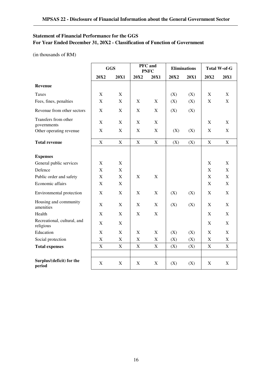#### **Statement of Financial Performance for the GGS For Year Ended December 31, 20X2 - Classification of Function of Government**

|                                          | <b>GGS</b>                |              | PFC and<br><b>PNFC</b> |              | <b>Eliminations</b> |             | <b>Total W-of-G</b> |              |
|------------------------------------------|---------------------------|--------------|------------------------|--------------|---------------------|-------------|---------------------|--------------|
|                                          | <b>20X2</b>               | <b>20X1</b>  | <b>20X2</b>            | <b>20X1</b>  | <b>20X2</b>         | <b>20X1</b> | <b>20X2</b>         | <b>20X1</b>  |
| <b>Revenue</b>                           |                           |              |                        |              |                     |             |                     |              |
| Taxes                                    | X                         | X            |                        |              | (X)                 | (X)         | X                   | X            |
| Fees, fines, penalties                   | $\mathbf X$               | X            | X                      | X            | (X)                 | (X)         | X                   | X            |
| Revenue from other sectors               | X                         | X            | X                      | X            | (X)                 | (X)         |                     |              |
| Transfers from other<br>governments      | X                         | X            | X                      | X            |                     |             | X                   | X            |
| Other operating revenue                  | X                         | X            | X                      | X            | (X)                 | (X)         | X                   | X            |
| <b>Total revenue</b>                     | X                         | X            | $\mathbf X$            | X            | (X)                 | (X)         | X                   | $\mathbf{X}$ |
| <b>Expenses</b>                          |                           |              |                        |              |                     |             |                     |              |
| General public services                  | X                         | X            |                        |              |                     |             | X                   | X            |
| Defence                                  | $\mathbf X$               | X            |                        |              |                     |             | $\mathbf X$         | X            |
| Public order and safety                  | $\mathbf X$               | $\mathbf X$  | $\mathbf X$            | X            |                     |             | $\mathbf X$         | X            |
| Economic affairs                         | X                         | X            |                        |              |                     |             | X                   | $\mathbf{X}$ |
| Environmental protection                 | X                         | X            | X                      | X            | (X)                 | (X)         | X                   | X            |
| Housing and community<br>amenities       | $\mathbf{X}$              | $\mathbf{X}$ | X                      | $\mathbf{X}$ | (X)                 | (X)         | $\mathbf{X}$        | $\mathbf{X}$ |
| Health                                   | $\boldsymbol{\mathrm{X}}$ | X            | X                      | X            |                     |             | X                   | $\mathbf X$  |
| Recreational, cultural, and<br>religious | X                         | X            |                        |              |                     |             | X                   | X            |
| Education                                | X                         | X            | X                      | X            | (X)                 | (X)         | X                   | X            |
| Social protection                        | $\mathbf X$               | $\mathbf X$  | X                      | $\mathbf X$  | (X)                 | (X)         | $\mathbf X$         | X            |
| <b>Total expenses</b>                    | $\mathbf X$               | X            | X                      | X            | (X)                 | (X)         | $\mathbf X$         | $\mathbf X$  |
|                                          |                           |              |                        |              |                     |             |                     |              |
| Surplus/(deficit) for the<br>period      | X                         | X            | X                      | X            | (X)                 | (X)         | X                   | X            |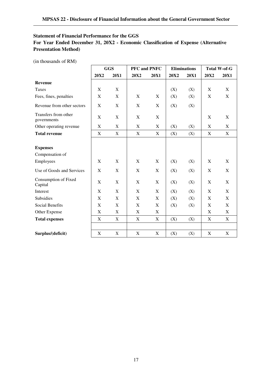### **Statement of Financial Performance for the GGS For Year Ended December 31, 20X2 - Economic Classification of Expense (Alternative Presentation Method)**

|                                     | <b>GGS</b>  |             | PFC and PNFC |             | <b>Eliminations</b> |             | <b>Total W-of-G</b> |             |
|-------------------------------------|-------------|-------------|--------------|-------------|---------------------|-------------|---------------------|-------------|
|                                     | <b>20X2</b> | <b>20X1</b> | <b>20X2</b>  | <b>20X1</b> | <b>20X2</b>         | <b>20X1</b> | <b>20X2</b>         | <b>20X1</b> |
| <b>Revenue</b>                      |             |             |              |             |                     |             |                     |             |
| Taxes                               | X           | $\mathbf X$ |              |             | (X)                 | (X)         | X                   | $\mathbf X$ |
| Fees, fines, penalties              | X           | X           | X            | $\mathbf X$ | (X)                 | (X)         | X                   | X           |
| Revenue from other sectors          | X           | X           | X            | X           | (X)                 | (X)         |                     |             |
| Transfers from other<br>governments | X           | $\mathbf X$ | $\mathbf X$  | $\mathbf X$ |                     |             | X                   | X           |
| Other operating revenue             | $\mathbf X$ | $\mathbf X$ | $\mathbf X$  | $\mathbf X$ | (X)                 | (X)         | $\mathbf X$         | X           |
| <b>Total revenue</b>                | $\mathbf X$ | X           | X            | X           | (X)                 | (X)         | X                   | X           |
|                                     |             |             |              |             |                     |             |                     |             |
| <b>Expenses</b>                     |             |             |              |             |                     |             |                     |             |
| Compensation of                     |             |             |              |             |                     |             |                     |             |
| Employees                           | X           | X           | X            | X           | (X)                 | (X)         | X                   | X           |
| Use of Goods and Services           | X           | X           | X            | X           | (X)                 | (X)         | X                   | X           |
| Consumption of Fixed<br>Capital     | X           | X           | X            | X           | (X)                 | (X)         | X                   | X           |
| Interest                            | X           | X           | X            | X           | (X)                 | (X)         | X                   | $\mathbf X$ |
| Subsidies                           | X           | X           | X            | X           | (X)                 | (X)         | X                   | X           |
| <b>Social Benefits</b>              | X           | X           | X            | $\mathbf X$ | (X)                 | (X)         | X                   | $\mathbf X$ |
| Other Expense                       | X           | X           | X            | X           |                     |             | X                   | X           |
| <b>Total expenses</b>               | X           | X           | X            | X           | (X)                 | (X)         | X                   | X           |
|                                     |             |             |              |             |                     |             |                     |             |
| Surplus/(deficit)                   | X           | $\mathbf X$ | X            | X           | (X)                 | (X)         | X                   | X           |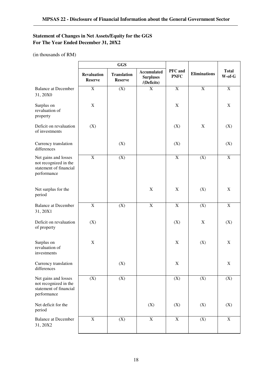## **Statement of Changes in Net Assets/Equity for the GGS For The Year Ended December 31, 20X2**

|                                                                                        |                                      | <b>GGS</b>                           |                                                |                        |                     |                        |  |
|----------------------------------------------------------------------------------------|--------------------------------------|--------------------------------------|------------------------------------------------|------------------------|---------------------|------------------------|--|
|                                                                                        | <b>Revaluation</b><br><b>Reserve</b> | <b>Translation</b><br><b>Reserve</b> | Accumulated<br><b>Surpluses</b><br>/(Deficits) | PFC and<br><b>PNFC</b> | <b>Eliminations</b> | <b>Total</b><br>W-of-G |  |
| <b>Balance at December</b><br>31, 20X0                                                 | $\mathbf X$                          | (X)                                  | $\mathbf X$                                    | $\mathbf X$            | X                   | $\mathbf X$            |  |
| Surplus on<br>revaluation of<br>property                                               | $\mathbf X$                          |                                      |                                                | $\mathbf X$            |                     | $\mathbf X$            |  |
| Deficit on revaluation<br>of investments                                               | (X)                                  |                                      |                                                | (X)                    | $\boldsymbol{X}$    | (X)                    |  |
| Currency translation<br>differences                                                    |                                      | (X)                                  |                                                | (X)                    |                     | (X)                    |  |
| Net gains and losses<br>not recognized in the<br>statement of financial<br>performance | $\overline{X}$                       | (X)                                  |                                                | $\mathbf X$            | (X)                 | $\mathbf X$            |  |
| Net surplus for the<br>period                                                          |                                      |                                      | $\mathbf X$                                    | X                      | (X)                 | X                      |  |
| <b>Balance at December</b><br>31, 20X1                                                 | $\mathbf X$                          | (X)                                  | $\mathbf X$                                    | $\mathbf X$            | (X)                 | $\mathbf X$            |  |
| Deficit on revaluation<br>of property                                                  | (X)                                  |                                      |                                                | (X)                    | $\mathbf X$         | (X)                    |  |
| Surplus on<br>revaluation of<br>investments                                            | $\mathbf X$                          |                                      |                                                | X                      | (X)                 | $\mathbf X$            |  |
| Currency translation<br>differences                                                    |                                      | (X)                                  |                                                | $\mathbf X$            |                     | $\mathbf X$            |  |
| Net gains and losses<br>not recognized in the<br>statement of financial<br>performance | (X)                                  | (X)                                  |                                                | (X)                    | (X)                 | (X)                    |  |
| Net deficit for the<br>period                                                          |                                      |                                      | (X)                                            | (X)                    | (X)                 | (X)                    |  |
| <b>Balance at December</b><br>31, 20X2                                                 | $\overline{X}$                       | (X)                                  | $\overline{X}$                                 | $\overline{X}$         | (X)                 | $\overline{X}$         |  |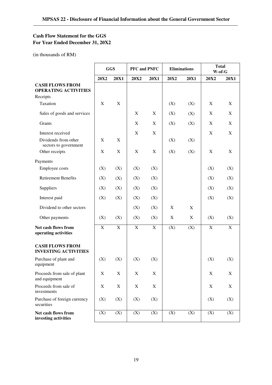#### **Cash Flow Statement for the GGS For Year Ended December 31, 20X2**

|                                                       | <b>GGS</b>  |                           | PFC and PNFC |                | <b>Eliminations</b> |             | <b>Total</b><br>W-of-G |             |
|-------------------------------------------------------|-------------|---------------------------|--------------|----------------|---------------------|-------------|------------------------|-------------|
|                                                       | <b>20X2</b> | <b>20X1</b>               | <b>20X2</b>  | <b>20X1</b>    | <b>20X2</b>         | <b>20X1</b> | <b>20X2</b>            | <b>20X1</b> |
| <b>CASH FLOWS FROM</b><br><b>OPERATING ACTIVITIES</b> |             |                           |              |                |                     |             |                        |             |
| Receipts                                              |             |                           |              |                |                     |             |                        |             |
| Taxation                                              | X           | X                         |              |                | (X)                 | (X)         | X                      | X           |
| Sales of goods and services                           |             |                           | X            | X              | (X)                 | (X)         | X                      | X           |
| Grants                                                |             |                           | X            | $\mathbf X$    | (X)                 | (X)         | X                      | X           |
| Interest received                                     |             |                           | X            | X              |                     |             | X                      | X           |
| Dividends from other<br>sectors to government         | X           | X                         |              |                | (X)                 | (X)         |                        |             |
| Other receipts                                        | X           | $\boldsymbol{\mathrm{X}}$ | X            | X              | (X)                 | (X)         | X                      | X           |
| Payments                                              |             |                           |              |                |                     |             |                        |             |
| Employee costs                                        | (X)         | (X)                       | (X)          | (X)            |                     |             | (X)                    | (X)         |
| <b>Retirement Benefits</b>                            | (X)         | (X)                       | (X)          | (X)            |                     |             | (X)                    | (X)         |
| Suppliers                                             | (X)         | (X)                       | (X)          | (X)            |                     |             | (X)                    | (X)         |
| Interest paid                                         | (X)         | (X)                       | (X)          | (X)            |                     |             | (X)                    | (X)         |
| Dividend to other sectors                             |             |                           | (X)          | (X)            | $\mathbf X$         | X           |                        |             |
| Other payments                                        | (X)         | (X)                       | (X)          | (X)            | $\mathbf X$         | X           | (X)                    | (X)         |
| Net cash flows from<br>operating activities           | $\mathbf X$ | $\mathbf X$               | $\mathbf X$  | $\overline{X}$ | (X)                 | (X)         | $\mathbf X$            | $\mathbf X$ |
| <b>CASH FLOWS FROM</b><br><b>INVESTING ACTIVITIES</b> |             |                           |              |                |                     |             |                        |             |
| Purchase of plant and<br>equipment                    | (X)         | (X)                       | (X)          | (X)            |                     |             | (X)                    | (X)         |
| Proceeds from sale of plant<br>and equipment          | $\mathbf X$ | X                         | $\mathbf X$  | $\mathbf X$    |                     |             | X                      | X           |
| Proceeds from sale of<br>investments                  | $\mathbf X$ | X                         | $\mathbf X$  | $\mathbf X$    |                     |             | $\mathbf X$            | X           |
| Purchase of foreign currency<br>securities            | (X)         | (X)                       | (X)          | (X)            |                     |             | (X)                    | (X)         |
| Net cash flows from<br>investing activities           | (X)         | (X)                       | (X)          | (X)            | (X)                 | (X)         | (X)                    | (X)         |